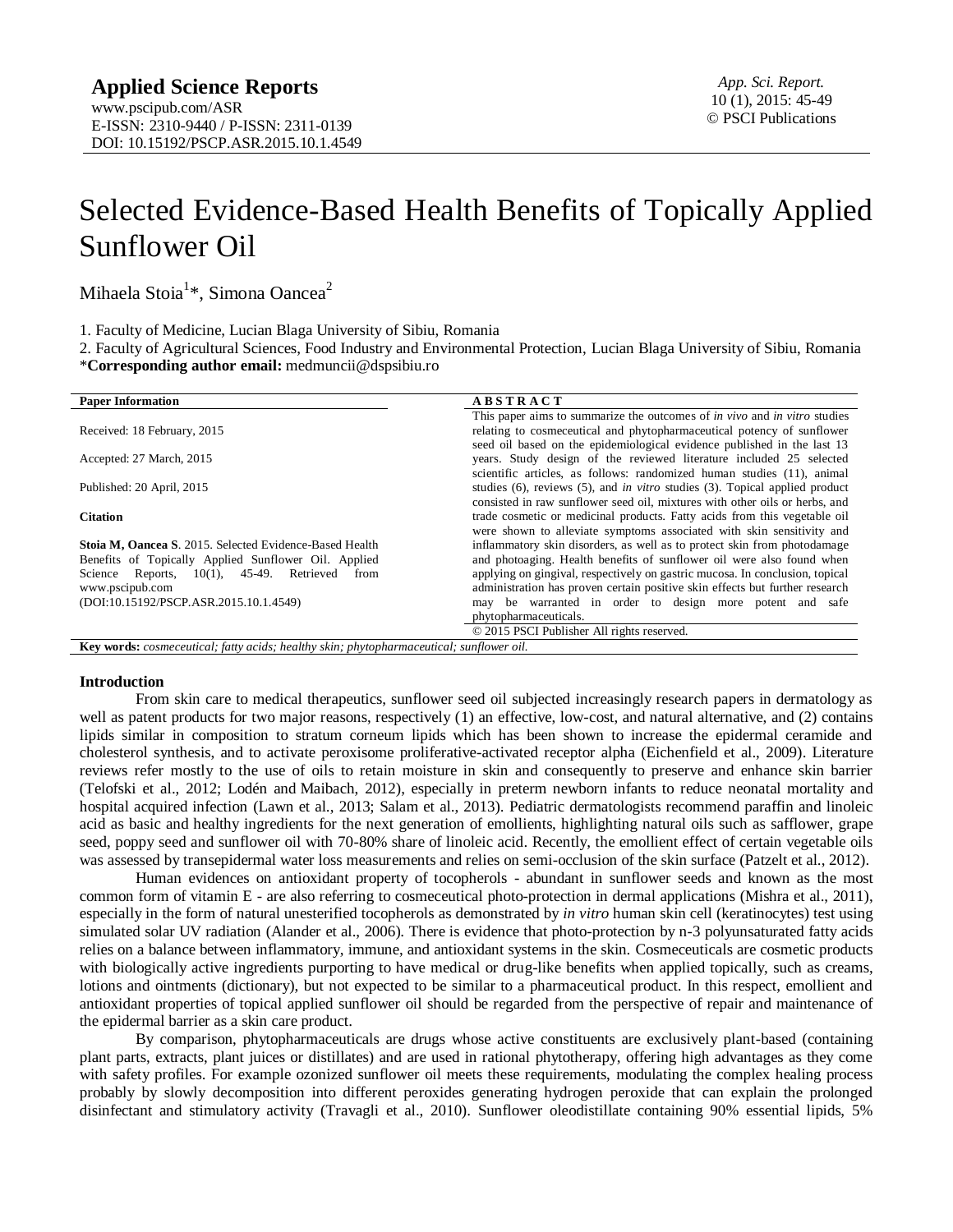# Selected Evidence-Based Health Benefits of Topically Applied Sunflower Oil

Mihaela Stoia<sup>1</sup>\*, Simona Oancea<sup>2</sup>

1. Faculty of Medicine, Lucian Blaga University of Sibiu, Romania

2. Faculty of Agricultural Sciences, Food Industry and Environmental Protection, Lucian Blaga University of Sibiu, Romania \***Corresponding author email:** [medmuncii@dspsibiu.ro](mailto:medmuncii@dspsibiu.ro)

| <b>Paper Information</b>                                | <b>ABSTRACT</b>                                                                         |  |  |
|---------------------------------------------------------|-----------------------------------------------------------------------------------------|--|--|
|                                                         | This paper aims to summarize the outcomes of <i>in vivo</i> and <i>in vitro</i> studies |  |  |
| Received: 18 February, 2015                             | relating to cosmeceutical and phytopharmaceutical potency of sunflower                  |  |  |
|                                                         | seed oil based on the epidemiological evidence published in the last 13                 |  |  |
| Accepted: 27 March, 2015                                | years. Study design of the reviewed literature included 25 selected                     |  |  |
|                                                         | scientific articles, as follows: randomized human studies (11), animal                  |  |  |
| Published: 20 April, 2015                               | studies (6), reviews (5), and <i>in vitro</i> studies (3). Topical applied product      |  |  |
|                                                         | consisted in raw sunflower seed oil, mixtures with other oils or herbs, and             |  |  |
| <b>Citation</b>                                         | trade cosmetic or medicinal products. Fatty acids from this vegetable oil               |  |  |
|                                                         | were shown to alleviate symptoms associated with skin sensitivity and                   |  |  |
| Stoia M, Oancea S. 2015. Selected Evidence-Based Health | inflammatory skin disorders, as well as to protect skin from photodamage                |  |  |
| Benefits of Topically Applied Sunflower Oil. Applied    | and photoaging. Health benefits of sunflower oil were also found when                   |  |  |
| Science Reports, 10(1), 45-49. Retrieved<br>from        | applying on gingival, respectively on gastric mucosa. In conclusion, topical            |  |  |
| www.pscipub.com                                         | administration has proven certain positive skin effects but further research            |  |  |
| (DOI:10.15192/PSCP.ASR.2015.10.1.4549)                  | may be warranted in order to design more potent and safe                                |  |  |
|                                                         | phytopharmaceuticals.                                                                   |  |  |
|                                                         | © 2015 PSCI Publisher All rights reserved.                                              |  |  |

## **Key words:** *cosmeceutical; fatty acids; healthy skin; phytopharmaceutical; sunflower oil.*

#### **Introduction**

From skin care to medical therapeutics, sunflower seed oil subjected increasingly research papers in dermatology as well as patent products for two major reasons, respectively (1) an effective, low-cost, and natural alternative, and (2) contains lipids similar in composition to stratum corneum lipids which has been shown to increase the epidermal ceramide and cholesterol synthesis, and to activate peroxisome proliferative-activated receptor alpha (Eichenfield et al., 2009). Literature reviews refer mostly to the use of oils to retain moisture in skin and consequently to preserve and enhance skin barrier (Telofski et al., 2012; Lodén and Maibach, 2012), especially in preterm newborn infants to reduce neonatal mortality and hospital acquired infection (Lawn et al., 2013; Salam et al., 2013). Pediatric dermatologists recommend paraffin and linoleic acid as basic and healthy ingredients for the next generation of emollients, highlighting natural oils such as safflower, grape seed, poppy seed and sunflower oil with 70-80% share of linoleic acid. Recently, the emollient effect of certain vegetable oils was assessed by transepidermal water loss measurements and relies on semi-occlusion of the skin surface (Patzelt et al., 2012).

Human evidences on antioxidant property of tocopherols - abundant in sunflower seeds and known as the most common form of vitamin E - are also referring to cosmeceutical photo-protection in dermal applications (Mishra et al., 2011), especially in the form of natural unesterified tocopherols as demonstrated by *in vitro* human skin cell (keratinocytes) test using simulated solar UV radiation (Alander et al., 2006). There is evidence that photo-protection by n-3 polyunsaturated fatty acids relies on a balance between inflammatory, immune, and antioxidant systems in the skin. Cosmeceuticals are cosmetic products with biologically active ingredients purporting to have medical or drug-like benefits when applied topically, such as creams, lotions and ointments (dictionary), but not expected to be similar to a pharmaceutical product. In this respect, emollient and antioxidant properties of topical applied sunflower oil should be regarded from the perspective of repair and maintenance of the epidermal barrier as a skin care product.

By comparison, phytopharmaceuticals are drugs whose active constituents are exclusively plant-based (containing plant parts, extracts, plant juices or distillates) and are used in rational phytotherapy, offering high advantages as they come with safety profiles. For example ozonized sunflower oil meets these requirements, modulating the complex healing process probably by slowly decomposition into different peroxides generating hydrogen peroxide that can explain the prolonged disinfectant and stimulatory activity (Travagli et al., 2010). Sunflower oleodistillate containing 90% essential lipids, 5%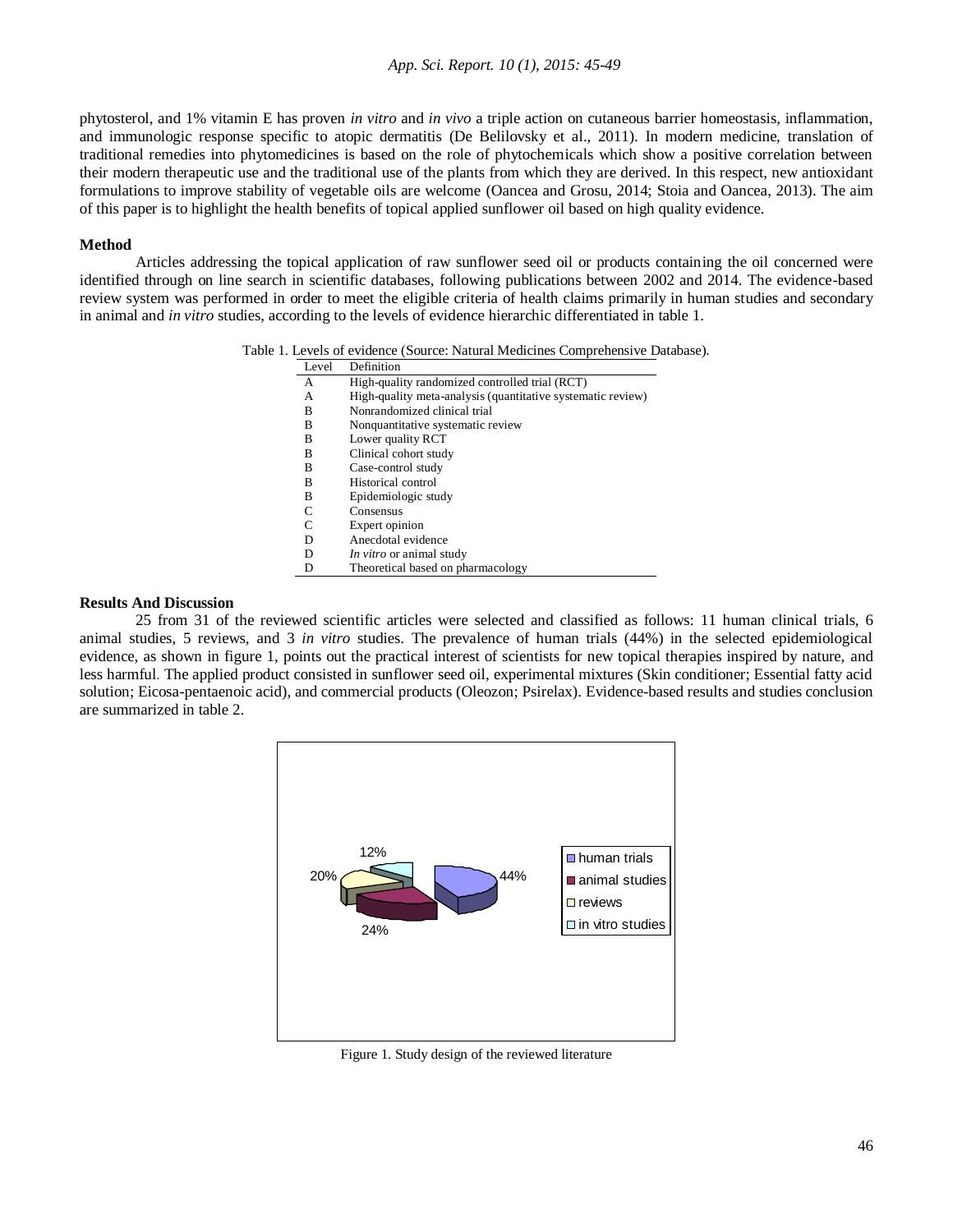phytosterol, and 1% vitamin E has proven *in vitro* and *in vivo* a triple action on cutaneous barrier homeostasis, inflammation, and immunologic response specific to atopic dermatitis (De Belilovsky et al., 2011). In modern medicine, translation of traditional remedies into phytomedicines is based on the role of phytochemicals which show a positive correlation between their modern therapeutic use and the traditional use of the plants from which they are derived. In this respect, new antioxidant formulations to improve stability of vegetable oils are welcome (Oancea and Grosu, 2014; Stoia and Oancea, 2013). The aim of this paper is to highlight the health benefits of topical applied sunflower oil based on high quality evidence.

# **Method**

Articles addressing the topical application of raw sunflower seed oil or products containing the oil concerned were identified through on line search in scientific databases, following publications between 2002 and 2014. The evidence-based review system was performed in order to meet the eligible criteria of health claims primarily in human studies and secondary in animal and *in vitro* studies, according to the levels of evidence hierarchic differentiated in table 1.

| Table 1. Levels of evidence (Source: Natural Medicines Comprehensive Database). |  |  |
|---------------------------------------------------------------------------------|--|--|
|---------------------------------------------------------------------------------|--|--|

| Level | Definition                                                  |
|-------|-------------------------------------------------------------|
| A     | High-quality randomized controlled trial (RCT)              |
| А     | High-quality meta-analysis (quantitative systematic review) |
| B     | Nonrandomized clinical trial                                |
| B     | Nonquantitative systematic review                           |
| В     | Lower quality RCT                                           |
| в     | Clinical cohort study                                       |
| в     | Case-control study                                          |
| B     | Historical control                                          |
| B     | Epidemiologic study                                         |
| C     | Consensus                                                   |
|       | Expert opinion                                              |
| D     | Anecdotal evidence                                          |
| D     | <i>In vitro</i> or animal study                             |
| D     | Theoretical based on pharmacology                           |

## **Results And Discussion**

25 from 31 of the reviewed scientific articles were selected and classified as follows: 11 human clinical trials, 6 animal studies, 5 reviews, and 3 *in vitro* studies. The prevalence of human trials (44%) in the selected epidemiological evidence, as shown in figure 1, points out the practical interest of scientists for new topical therapies inspired by nature, and less harmful. The applied product consisted in sunflower seed oil, experimental mixtures (Skin conditioner; Essential fatty acid solution; Eicosa-pentaenoic acid), and commercial products (Oleozon; Psirelax). Evidence-based results and studies conclusion are summarized in table 2.



Figure 1. Study design of the reviewed literature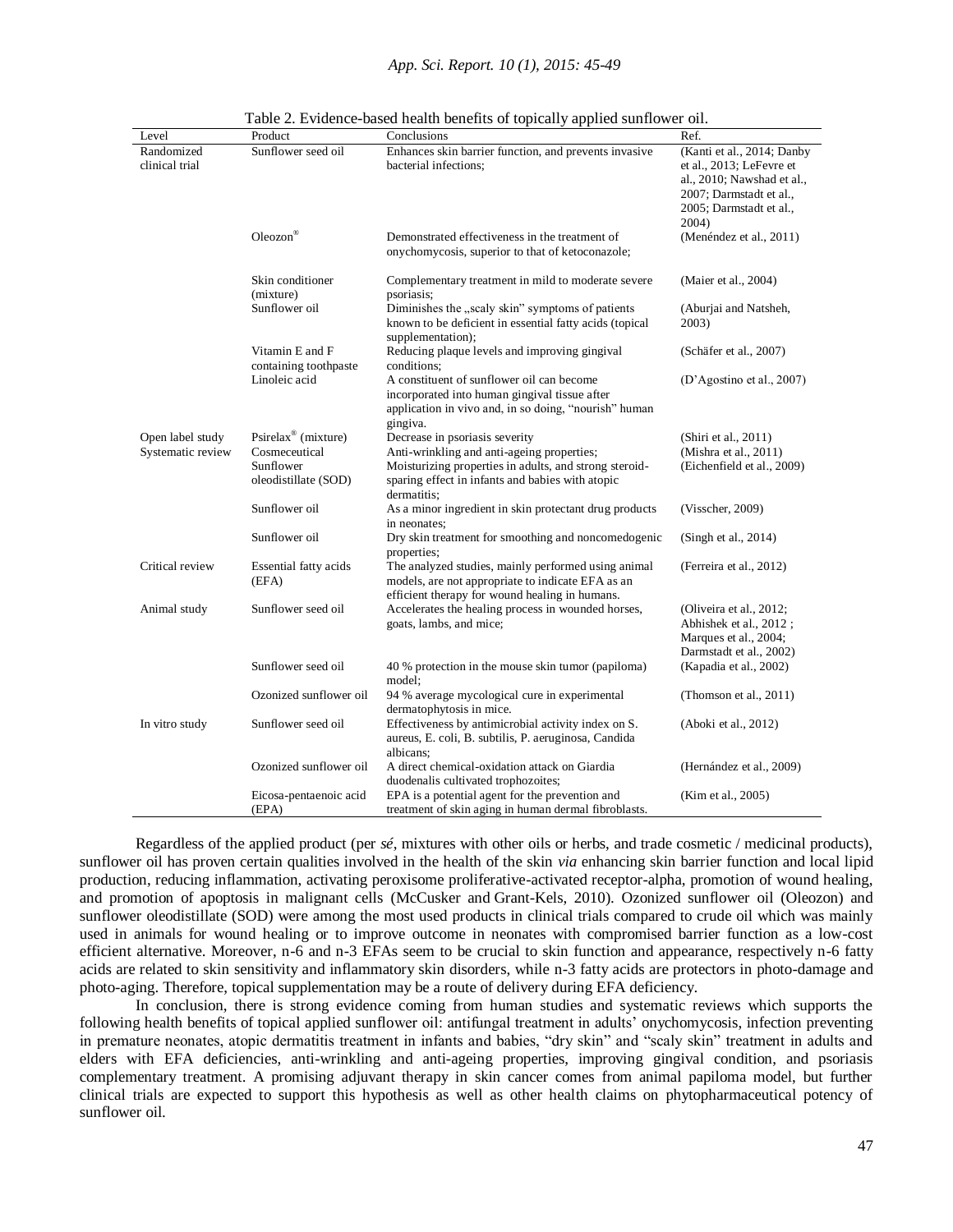| Level                        | Product                                            | Conclusions                                                                                                                                                             | Ref.                                                                                                                                                |
|------------------------------|----------------------------------------------------|-------------------------------------------------------------------------------------------------------------------------------------------------------------------------|-----------------------------------------------------------------------------------------------------------------------------------------------------|
| Randomized<br>clinical trial | Sunflower seed oil                                 | Enhances skin barrier function, and prevents invasive<br>bacterial infections;                                                                                          | (Kanti et al., 2014; Danby<br>et al., 2013; LeFevre et<br>al., 2010; Nawshad et al.,<br>2007; Darmstadt et al.,<br>2005; Darmstadt et al.,<br>2004) |
|                              | Oleozon®                                           | Demonstrated effectiveness in the treatment of<br>onychomycosis, superior to that of ketoconazole;                                                                      | (Menéndez et al., 2011)                                                                                                                             |
|                              | Skin conditioner<br>(mixture)                      | Complementary treatment in mild to moderate severe<br>psoriasis;                                                                                                        | (Maier et al., 2004)                                                                                                                                |
|                              | Sunflower oil                                      | Diminishes the "scaly skin" symptoms of patients<br>known to be deficient in essential fatty acids (topical<br>supplementation);                                        | (Aburjai and Natsheh,<br>2003)                                                                                                                      |
|                              | Vitamin E and F<br>containing toothpaste           | Reducing plaque levels and improving gingival<br>conditions:                                                                                                            | (Schäfer et al., 2007)                                                                                                                              |
|                              | Linoleic acid                                      | A constituent of sunflower oil can become<br>incorporated into human gingival tissue after<br>application in vivo and, in so doing, "nourish" human<br>gingiva.         | (D'Agostino et al., 2007)                                                                                                                           |
| Open label study             | Psirelax <sup>®</sup> (mixture)                    | Decrease in psoriasis severity                                                                                                                                          | (Shiri et al., 2011)                                                                                                                                |
| Systematic review            | Cosmeceutical<br>Sunflower<br>oleodistillate (SOD) | Anti-wrinkling and anti-ageing properties;<br>Moisturizing properties in adults, and strong steroid-<br>sparing effect in infants and babies with atopic<br>dermatitis; | (Mishra et al., 2011)<br>(Eichenfield et al., 2009)                                                                                                 |
|                              | Sunflower oil                                      | As a minor ingredient in skin protectant drug products<br>in neonates:                                                                                                  | (Visscher, 2009)                                                                                                                                    |
|                              | Sunflower oil                                      | Dry skin treatment for smoothing and noncomedogenic<br>properties;                                                                                                      | (Singh et al., $2014$ )                                                                                                                             |
| Critical review              | Essential fatty acids<br>(EFA)                     | The analyzed studies, mainly performed using animal<br>models, are not appropriate to indicate EFA as an<br>efficient therapy for wound healing in humans.              | (Ferreira et al., 2012)                                                                                                                             |
| Animal study                 | Sunflower seed oil                                 | Accelerates the healing process in wounded horses,<br>goats, lambs, and mice;                                                                                           | (Oliveira et al., 2012;<br>Abhishek et al., 2012;<br>Marques et al., 2004;<br>Darmstadt et al., 2002)                                               |
|                              | Sunflower seed oil                                 | 40 % protection in the mouse skin tumor (papiloma)<br>model:                                                                                                            | (Kapadia et al., 2002)                                                                                                                              |
|                              | Ozonized sunflower oil                             | 94 % average mycological cure in experimental<br>dermatophytosis in mice.                                                                                               | (Thomson et al., $2011$ )                                                                                                                           |
| In vitro study               | Sunflower seed oil                                 | Effectiveness by antimicrobial activity index on S.<br>aureus, E. coli, B. subtilis, P. aeruginosa, Candida<br>albicans:                                                | (Aboki et al., 2012)                                                                                                                                |
|                              | Ozonized sunflower oil                             | A direct chemical-oxidation attack on Giardia<br>duodenalis cultivated trophozoites;                                                                                    | (Hernández et al., 2009)                                                                                                                            |
|                              | Eicosa-pentaenoic acid<br>(EPA)                    | EPA is a potential agent for the prevention and<br>treatment of skin aging in human dermal fibroblasts.                                                                 | (Kim et al., 2005)                                                                                                                                  |

Table 2. Evidence-based health benefits of topically applied sunflower oil.

Regardless of the applied product (per *sé*, mixtures with other oils or herbs, and trade cosmetic / medicinal products), sunflower oil has proven certain qualities involved in the health of the skin *via* enhancing skin barrier function and local lipid production, reducing inflammation, activating peroxisome proliferative-activated receptor-alpha, promotion of wound healing, and promotion of apoptosis in malignant cells (McCusker and Grant-Kels, 2010). Ozonized sunflower oil (Oleozon) and sunflower oleodistillate (SOD) were among the most used products in clinical trials compared to crude oil which was mainly used in animals for wound healing or to improve outcome in neonates with compromised barrier function as a low-cost efficient alternative. Moreover, n-6 and n-3 EFAs seem to be crucial to skin function and appearance, respectively n-6 fatty acids are related to skin sensitivity and inflammatory skin disorders, while n-3 fatty acids are protectors in photo-damage and photo-aging. Therefore, topical supplementation may be a route of delivery during EFA deficiency.

In conclusion, there is strong evidence coming from human studies and systematic reviews which supports the following health benefits of topical applied sunflower oil: antifungal treatment in adults' onychomycosis, infection preventing in premature neonates, atopic dermatitis treatment in infants and babies, "dry skin" and "scaly skin" treatment in adults and elders with EFA deficiencies, anti-wrinkling and anti-ageing properties, improving gingival condition, and psoriasis complementary treatment. A promising adjuvant therapy in skin cancer comes from animal papiloma model, but further clinical trials are expected to support this hypothesis as well as other health claims on phytopharmaceutical potency of sunflower oil.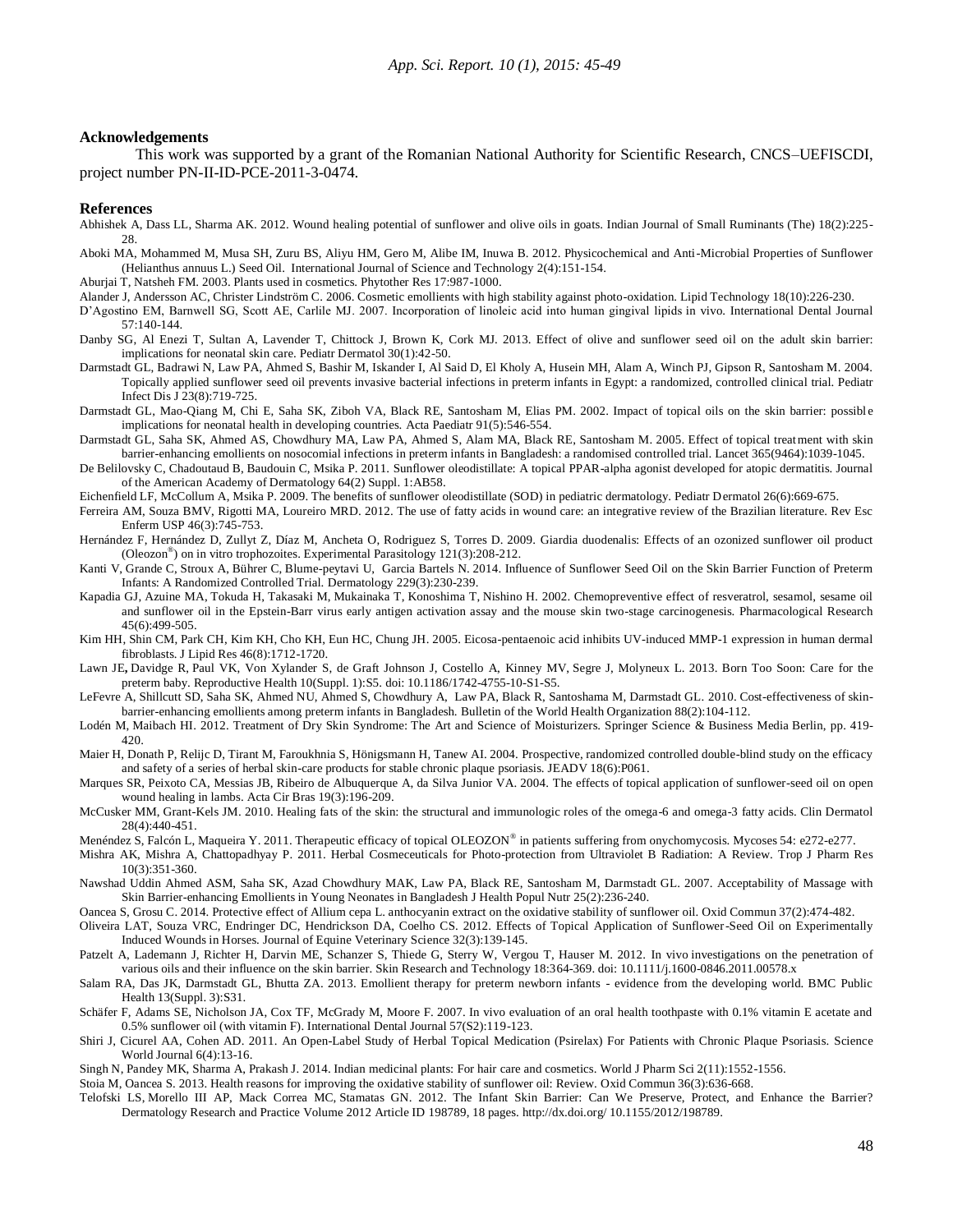#### **Acknowledgements**

This work was supported by a grant of the Romanian National Authority for Scientific Research, CNCS–UEFISCDI, project number PN-II-ID-PCE-2011-3-0474.

#### **References**

- Abhishek A, Dass LL, Sharma AK. 2012. Wound healing potential of sunflower and olive oils in goats. Indian Journal of Small Ruminants (The) 18(2):225- 28.
- Aboki MA, Mohammed M, Musa SH, Zuru BS, Aliyu HM, Gero M, Alibe IM, Inuwa B. 2012. Physicochemical and Anti-Microbial Properties of Sunflower (Helianthus annuus L.) Seed Oil. International Journal of Science and Technology 2(4):151-154.
- Aburjai T, Natsheh FM. 2003. Plants used in cosmetics. Phytother Res 17:987-1000.
- Alander J, Andersson AC, Christer Lindström C. 2006. Cosmetic emollients with high stability against photo-oxidation. Lipid Technology 18(10):226-230.
- D'Agostino EM, Barnwell SG, Scott AE, Carlile MJ. 2007. Incorporation of linoleic acid into human gingival lipids in vivo. International Dental Journal 57:140-144.
- Danby SG, Al Enezi T, Sultan A, Lavender T, Chittock J, Brown K, Cork MJ. 2013. Effect of olive and sunflower seed oil on the adult skin barrier: implications for neonatal skin care. Pediatr Dermatol 30(1):42-50.
- Darmstadt GL, Badrawi N, Law PA, Ahmed S, Bashir M, Iskander I, Al Said D, El Kholy A, Husein MH, Alam A, Winch PJ, Gipson R, Santosham M. 2004. Topically applied sunflower seed oil prevents invasive bacterial infections in preterm infants in Egypt: a randomized, controlled clinical trial. Pediatr Infect Dis J 23(8):719-725.
- Darmstadt GL, Mao-Qiang M, Chi E, Saha SK, Ziboh VA, Black RE, Santosham M, Elias PM. 2002. Impact of topical oils on the skin barrier: possibl e implications for neonatal health in developing countries. Acta Paediatr 91(5):546-554.
- Darmstadt GL, Saha SK, Ahmed AS, Chowdhury MA, Law PA, Ahmed S, Alam MA, Black RE, Santosham M. 2005. Effect of topical treatment with skin barrier-enhancing emollients on nosocomial infections in preterm infants in Bangladesh: a randomised controlled trial. Lancet 365(9464):1039-1045.
- De Belilovsky C, Chadoutaud B, Baudouin C, Msika P. 2011. Sunflower oleodistillate: A topical PPAR-alpha agonist developed for atopic dermatitis. Journal of the American Academy of Dermatology 64(2) Suppl. 1:AB58.
- Eichenfield LF, McCollum A, Msika P. 2009. The benefits of sunflower oleodistillate (SOD) in pediatric dermatology. Pediatr Dermatol 26(6):669-675.

Ferreira AM, Souza BMV, Rigotti MA, Loureiro MRD. 2012. The use of fatty acids in wound care: an integrative review of the Brazilian literature. Rev Esc Enferm USP 46(3):745-753.

- Hernández F, Hernández D, Zullyt Z, Díaz M, Ancheta O, Rodriguez S, Torres D. 2009. Giardia duodenalis: Effects of an ozonized sunflower oil product (Oleozon® ) on in vitro trophozoites. Experimental Parasitology 121(3):208-212.
- Kanti V, Grande C, Stroux A, Bührer C, Blume-peytavi U, Garcia Bartels N. 2014. Influence of Sunflower Seed Oil on the Skin Barrier Function of Preterm Infants: A Randomized Controlled Trial. Dermatology 229(3):230-239.
- Kapadia GJ, Azuine MA, Tokuda H, Takasaki M, Mukainaka T, Konoshima T, Nishino H. 2002. Chemopreventive effect of resveratrol, sesamol, sesame oil and sunflower oil in the Epstein-Barr virus early antigen activation assay and the mouse skin two-stage carcinogenesis. Pharmacological Research 45(6):499-505.
- Kim HH, Shin CM, Park CH, Kim KH, Cho KH, Eun HC, Chung JH. 2005. Eicosa-pentaenoic acid inhibits UV-induced MMP-1 expression in human dermal fibroblasts. J Lipid Res 46(8):1712-1720.
- Lawn JE**,** Davidge R, Paul VK, Von Xylander S, de Graft Johnson J, Costello A, Kinney MV, Segre J, Molyneux L. 2013. Born Too Soon: Care for the preterm baby. Reproductive Health 10(Suppl. 1):S5. doi: 10.1186/1742-4755-10-S1-S5.
- LeFevre A, Shillcutt SD, Saha SK, Ahmed NU, Ahmed S, Chowdhury A, Law PA, Black R, Santoshama M, Darmstadt GL. 2010. Cost-effectiveness of skinbarrier-enhancing emollients among preterm infants in Bangladesh. Bulletin of the World Health Organization 88(2):104-112.
- Lodén M, Maibach HI. 2012. Treatment of Dry Skin Syndrome: The Art and Science of Moisturizers. Springer Science & Business Media Berlin, pp. 419- 420.
- Maier H, Donath P, Relijc D, Tirant M, Faroukhnia S, Hönigsmann H, Tanew AI. 2004. Prospective, randomized controlled double-blind study on the efficacy and safety of a series of herbal skin-care products for stable chronic plaque psoriasis. JEADV 18(6):P061.
- Marques SR, Peixoto CA, Messias JB, Ribeiro de Albuquerque A, da Silva Junior VA. 2004. The effects of topical application of sunflower-seed oil on open wound healing in lambs. Acta Cir Bras 19(3):196-209.
- McCusker MM, Grant-Kels JM. 2010. Healing fats of the skin: the structural and immunologic roles of the omega-6 and omega-3 fatty acids. Clin Dermatol 28(4):440-451.
- Menéndez S, Falcón L, Maqueira Y. 2011. Therapeutic efficacy of topical OLEOZON® in patients suffering from onychomycosis. Mycoses 54: e272-e277.
- Mishra AK, Mishra A, Chattopadhyay P. 2011. Herbal Cosmeceuticals for Photo-protection from Ultraviolet B Radiation: A Review. Trop J Pharm Res 10(3):351-360.
- Nawshad Uddin Ahmed ASM, Saha SK, Azad Chowdhury MAK, Law PA, Black RE, Santosham M, Darmstadt GL. 2007. Acceptability of Massage with Skin Barrier-enhancing Emollients in Young Neonates in Bangladesh J Health Popul Nutr 25(2):236-240.
- Oancea S, Grosu C. 2014. Protective effect of Allium cepa L. anthocyanin extract on the oxidative stability of sunflower oil. Oxid Commun 37(2):474-482.
- Oliveira LAT, Souza VRC, Endringer DC, Hendrickson DA, Coelho CS. 2012. Effects of Topical Application of Sunflower-Seed Oil on Experimentally Induced Wounds in Horses. Journal of Equine Veterinary Science 32(3):139-145.
- Patzelt A, Lademann J, Richter H, Darvin ME, Schanzer S, Thiede G, Sterry W, Vergou T, Hauser M. 2012. In vivo investigations on the penetration of various oils and their influence on the skin barrier. Skin Research and Technology 18:364-369. doi: 10.1111/j.1600-0846.2011.00578.x
- Salam RA, Das JK, Darmstadt GL, Bhutta ZA. 2013. Emollient therapy for preterm newborn infants evidence from the developing world. BMC Public Health 13(Suppl. 3):S31.
- Schäfer F, Adams SE, Nicholson JA, Cox TF, McGrady M, Moore F. 2007. In vivo evaluation of an oral health toothpaste with 0.1% vitamin E acetate and 0.5% sunflower oil (with vitamin F). International Dental Journal 57(S2):119-123.
- Shiri J, Cicurel AA, Cohen AD. 2011. An Open-Label Study of Herbal Topical Medication (Psirelax) For Patients with Chronic Plaque Psoriasis. Science World Journal 6(4):13-16.
- Singh N, Pandey MK, Sharma A, Prakash J. 2014. Indian medicinal plants: For hair care and cosmetics. World J Pharm Sci 2(11):1552-1556.
- Stoia M, Oancea S. 2013. Health reasons for improving the oxidative stability of sunflower oil: Review. Oxid Commun 36(3):636-668.
- Telofski LS, Morello III AP, Mack Correa MC, Stamatas GN. 2012. The Infant Skin Barrier: Can We Preserve, Protect, and Enhance the Barrier? Dermatology Research and Practice Volume 2012 Article ID 198789, 18 pages. http://dx.doi.org/ 10.1155/2012/198789.